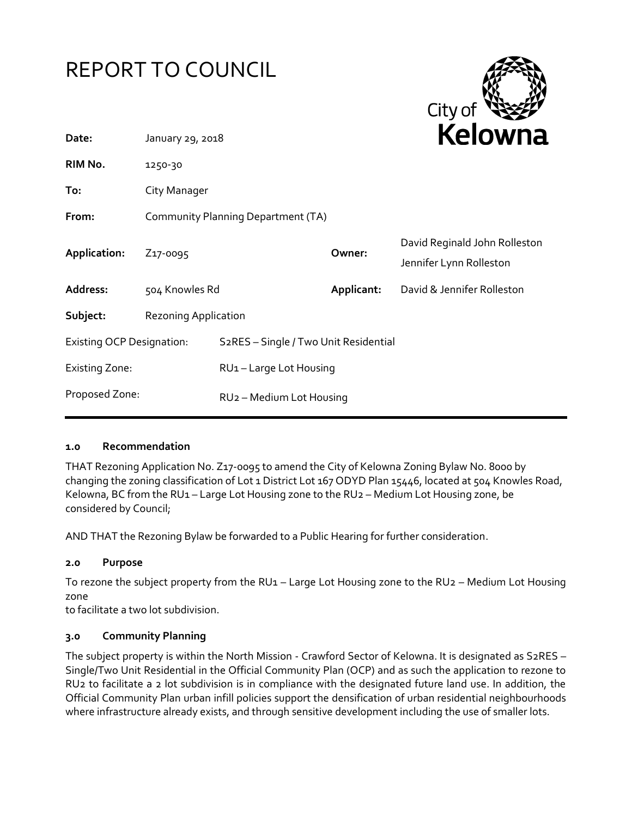



| Date:                            | January 29, 2018                   |                                                    |            | REIUWIId                                                 |  |
|----------------------------------|------------------------------------|----------------------------------------------------|------------|----------------------------------------------------------|--|
| RIM No.                          | 1250-30                            |                                                    |            |                                                          |  |
| To:                              | City Manager                       |                                                    |            |                                                          |  |
| From:                            | Community Planning Department (TA) |                                                    |            |                                                          |  |
| Application:                     | Z <sub>17</sub> -0095              |                                                    | Owner:     | David Reginald John Rolleston<br>Jennifer Lynn Rolleston |  |
| Address:                         | 504 Knowles Rd                     |                                                    | Applicant: | David & Jennifer Rolleston                               |  |
| Subject:                         | <b>Rezoning Application</b>        |                                                    |            |                                                          |  |
| <b>Existing OCP Designation:</b> |                                    | S <sub>2</sub> RES - Single / Two Unit Residential |            |                                                          |  |
| <b>Existing Zone:</b>            |                                    | RU1-Large Lot Housing                              |            |                                                          |  |
| Proposed Zone:                   |                                    | RU <sub>2</sub> - Medium Lot Housing               |            |                                                          |  |

### **1.0 Recommendation**

THAT Rezoning Application No. Z17-0095 to amend the City of Kelowna Zoning Bylaw No. 8000 by changing the zoning classification of Lot 1 District Lot 167 ODYD Plan 15446, located at 504 Knowles Road, Kelowna, BC from the RU1 - Large Lot Housing zone to the RU2 - Medium Lot Housing zone, be considered by Council;

AND THAT the Rezoning Bylaw be forwarded to a Public Hearing for further consideration.

### **2.0 Purpose**

To rezone the subject property from the RU1 – Large Lot Housing zone to the RU2 – Medium Lot Housing zone

to facilitate a two lot subdivision.

# **3.0 Community Planning**

The subject property is within the North Mission - Crawford Sector of Kelowna. It is designated as S2RES – Single/Two Unit Residential in the Official Community Plan (OCP) and as such the application to rezone to RU2 to facilitate a 2 lot subdivision is in compliance with the designated future land use. In addition, the Official Community Plan urban infill policies support the densification of urban residential neighbourhoods where infrastructure already exists, and through sensitive development including the use of smaller lots.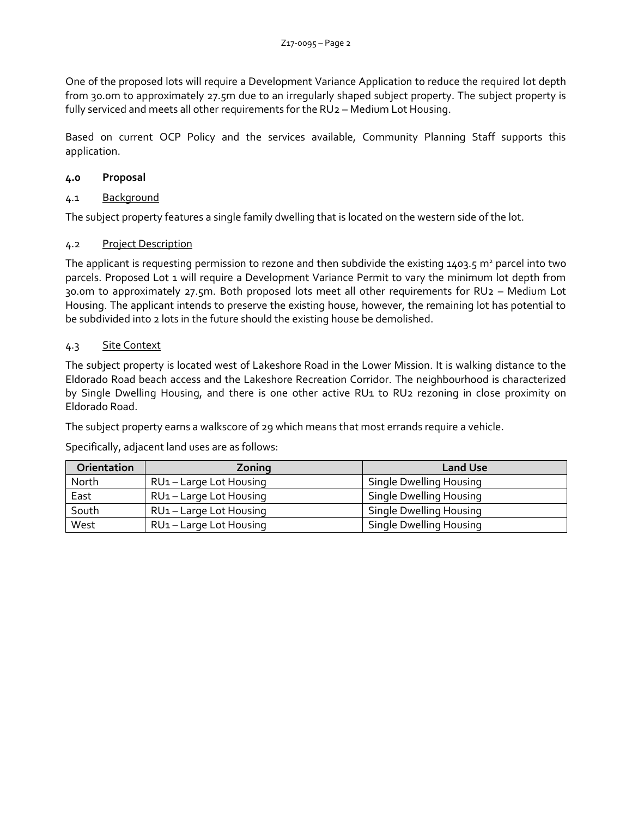One of the proposed lots will require a Development Variance Application to reduce the required lot depth from 30.0m to approximately 27.5m due to an irregularly shaped subject property. The subject property is fully serviced and meets all other requirements for the RU2 – Medium Lot Housing.

Based on current OCP Policy and the services available, Community Planning Staff supports this application.

# **4.0 Proposal**

# 4.1 Background

The subject property features a single family dwelling that is located on the western side of the lot.

## 4.2 Project Description

The applicant is requesting permission to rezone and then subdivide the existing 1403.5  $m^2$  parcel into two parcels. Proposed Lot 1 will require a Development Variance Permit to vary the minimum lot depth from 30.0m to approximately 27.5m. Both proposed lots meet all other requirements for RU2 – Medium Lot Housing. The applicant intends to preserve the existing house, however, the remaining lot has potential to be subdivided into 2 lots in the future should the existing house be demolished.

## 4.3 Site Context

The subject property is located west of Lakeshore Road in the Lower Mission. It is walking distance to the Eldorado Road beach access and the Lakeshore Recreation Corridor. The neighbourhood is characterized by Single Dwelling Housing, and there is one other active RU1 to RU2 rezoning in close proximity on Eldorado Road.

The subject property earns a walkscore of 29 which means that most errands require a vehicle.

Specifically, adjacent land uses are as follows:

| Orientation | Zoning                              | <b>Land Use</b>         |
|-------------|-------------------------------------|-------------------------|
| North       | RU <sub>1</sub> – Large Lot Housing | Single Dwelling Housing |
| East        | RU <sub>1</sub> - Large Lot Housing | Single Dwelling Housing |
| South       | RU <sub>1</sub> - Large Lot Housing | Single Dwelling Housing |
| West        | RU <sub>1</sub> - Large Lot Housing | Single Dwelling Housing |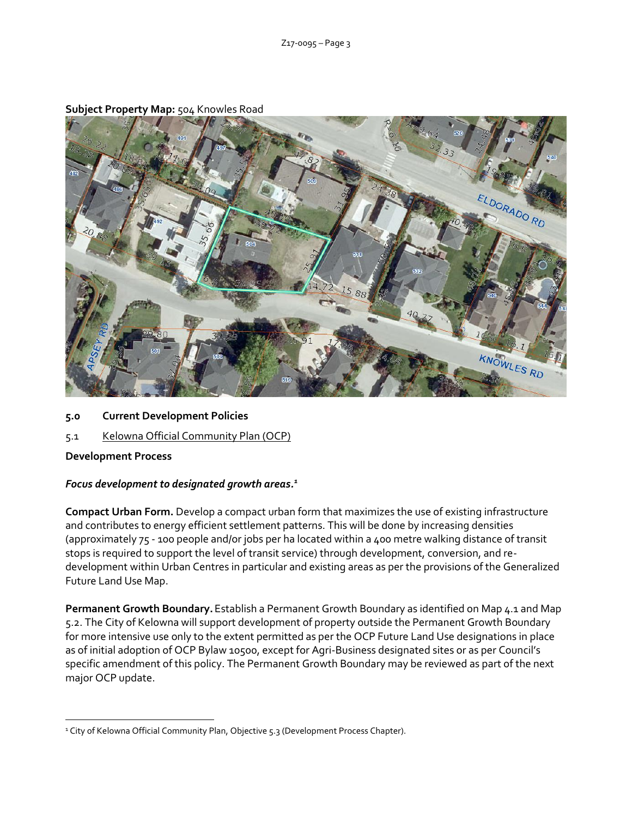

## **Subject Property Map:** 504 Knowles Road

- **5.0 Current Development Policies**
- 5.1 Kelowna Official Community Plan (OCP)

# **Development Process**

### *Focus development to designated growth areas.<sup>1</sup>*

**Compact Urban Form.** Develop a compact urban form that maximizes the use of existing infrastructure and contributes to energy efficient settlement patterns. This will be done by increasing densities (approximately 75 - 100 people and/or jobs per ha located within a 400 metre walking distance of transit stops is required to support the level of transit service) through development, conversion, and redevelopment within Urban Centres in particular and existing areas as per the provisions of the Generalized Future Land Use Map.

**Permanent Growth Boundary.**Establish a Permanent Growth Boundary as identified on Map 4.1 and Map 5.2. The City of Kelowna will support development of property outside the Permanent Growth Boundary for more intensive use only to the extent permitted as per the OCP Future Land Use designations in place as of initial adoption of OCP Bylaw 10500, except for Agri-Business designated sites or as per Council's specific amendment of this policy. The Permanent Growth Boundary may be reviewed as part of the next major OCP update.

<sup>-</sup><sup>1</sup> City of Kelowna Official Community Plan, Objective 5.3 (Development Process Chapter).